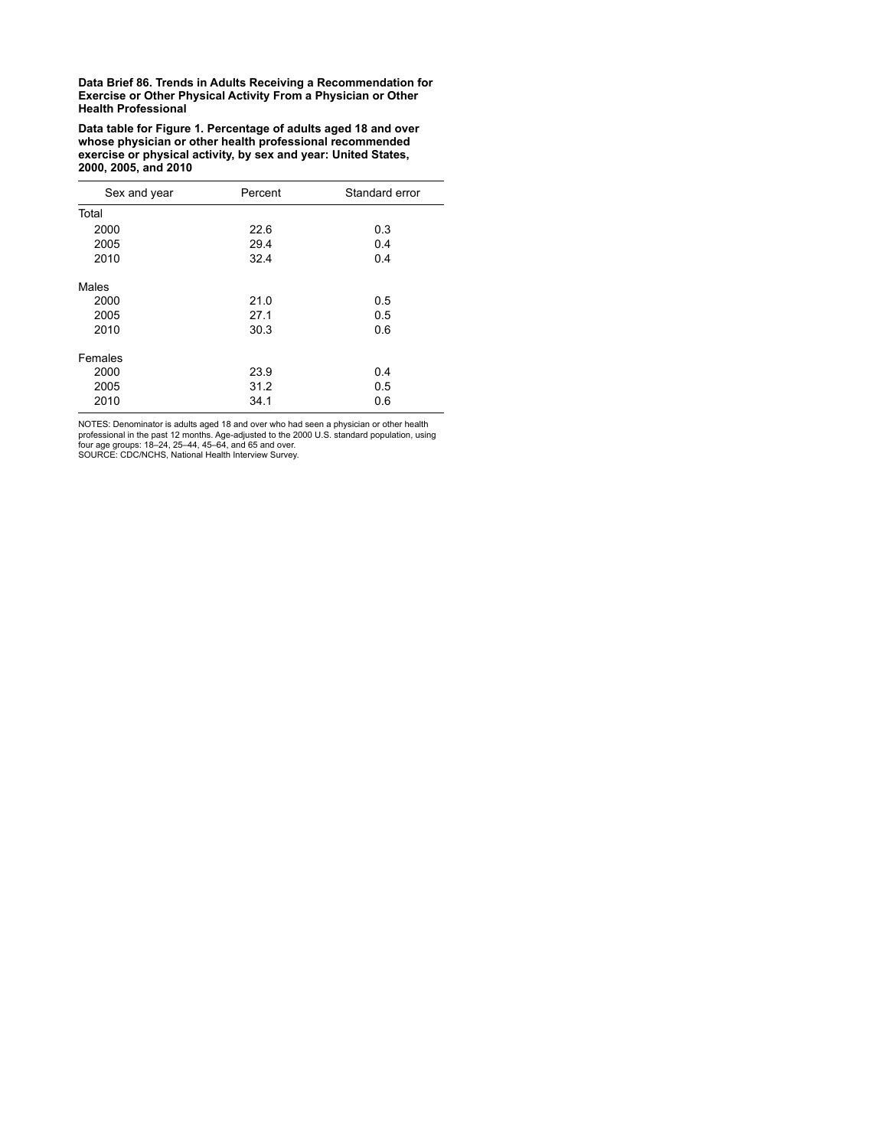**Data table for Figure 1. Percentage of adults aged 18 and over whose physician or other health professional recommended exercise or physical activity, by sex and year: United States, 2000, 2005, and 2010**

| Sex and year | Percent | Standard error |
|--------------|---------|----------------|
| Total        |         |                |
| 2000         | 22.6    | 0.3            |
| 2005         | 29.4    | 0.4            |
| 2010         | 32.4    | 0.4            |
| Males        |         |                |
| 2000         | 21.0    | 0.5            |
| 2005         | 27.1    | 0.5            |
| 2010         | 30.3    | 0.6            |
| Females      |         |                |
| 2000         | 23.9    | 0.4            |
| 2005         | 31.2    | 0.5            |
| 2010         | 34.1    | 0.6            |

NOTES: Denominator is adults aged 18 and over who had seen a physician or other health<br>professional in the past 12 months. Age-adjusted to the 2000 U.S. standard population, using<br>four age groups: 18–24, 25–44, 45–64, and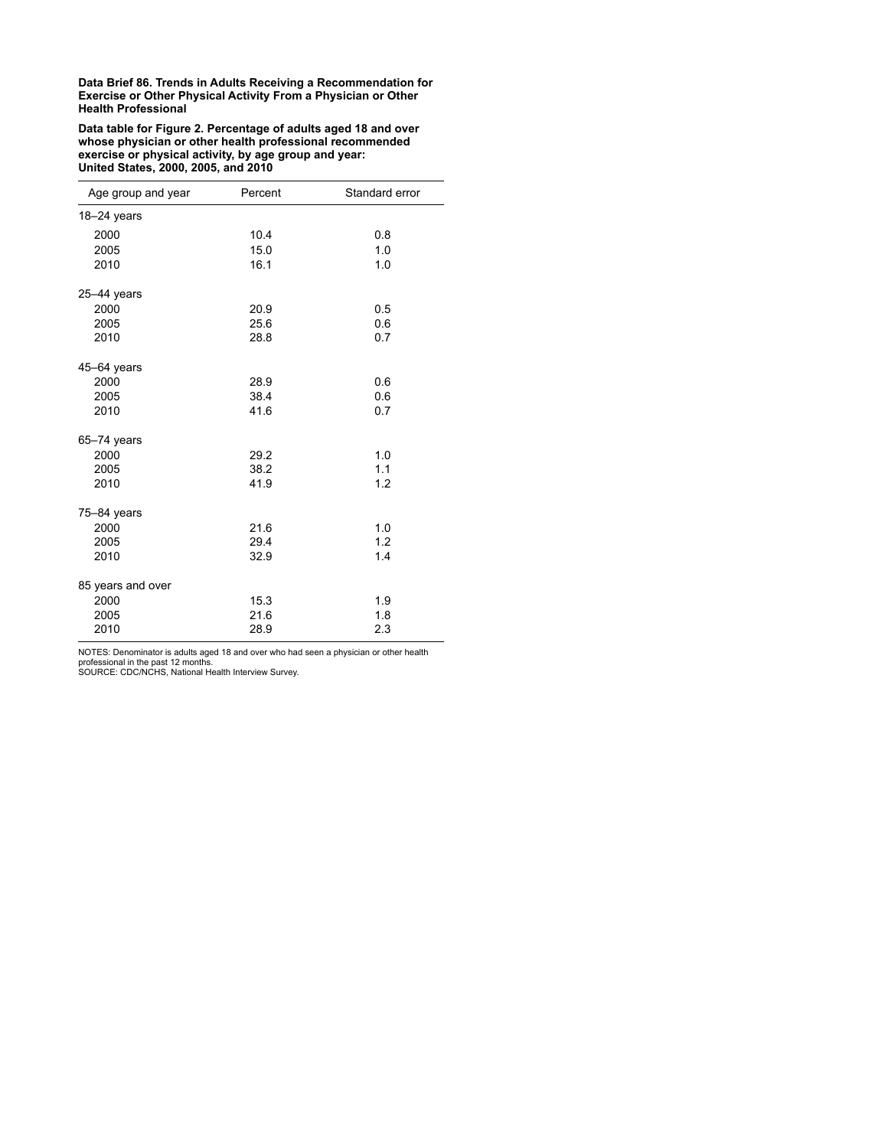**Data table for Figure 2. Percentage of adults aged 18 and over whose physician or other health professional recommended exercise or physical activity, by age group and year: United States, 2000, 2005, and 2010**

| Age group and year | Percent | Standard error |
|--------------------|---------|----------------|
| $18 - 24$ years    |         |                |
| 2000               | 10.4    | 0.8            |
| 2005               | 15.0    | 1.0            |
| 2010               | 16.1    | 1.0            |
| 25-44 years        |         |                |
| 2000               | 20.9    | 0.5            |
| 2005               | 25.6    | 0.6            |
| 2010               | 28.8    | 0.7            |
| 45-64 years        |         |                |
| 2000               | 28.9    | 0.6            |
| 2005               | 38.4    | 0.6            |
| 2010               | 41.6    | 0.7            |
| $65 - 74$ years    |         |                |
| 2000               | 29.2    | 1.0            |
| 2005               | 38.2    | 1.1            |
| 2010               | 41.9    | 1.2            |
| $75 - 84$ years    |         |                |
| 2000               | 21.6    | 1.0            |
| 2005               | 29.4    | 1.2            |
| 2010               | 32.9    | 1.4            |
| 85 years and over  |         |                |
| 2000               | 15.3    | 1.9            |
| 2005               | 21.6    | 1.8            |
| 2010               | 28.9    | 2.3            |

NOTES: Denominator is adults aged 18 and over who had seen a physician or other health professional in the past 12 months. SOURCE: CDC/NCHS, National Health Interview Survey.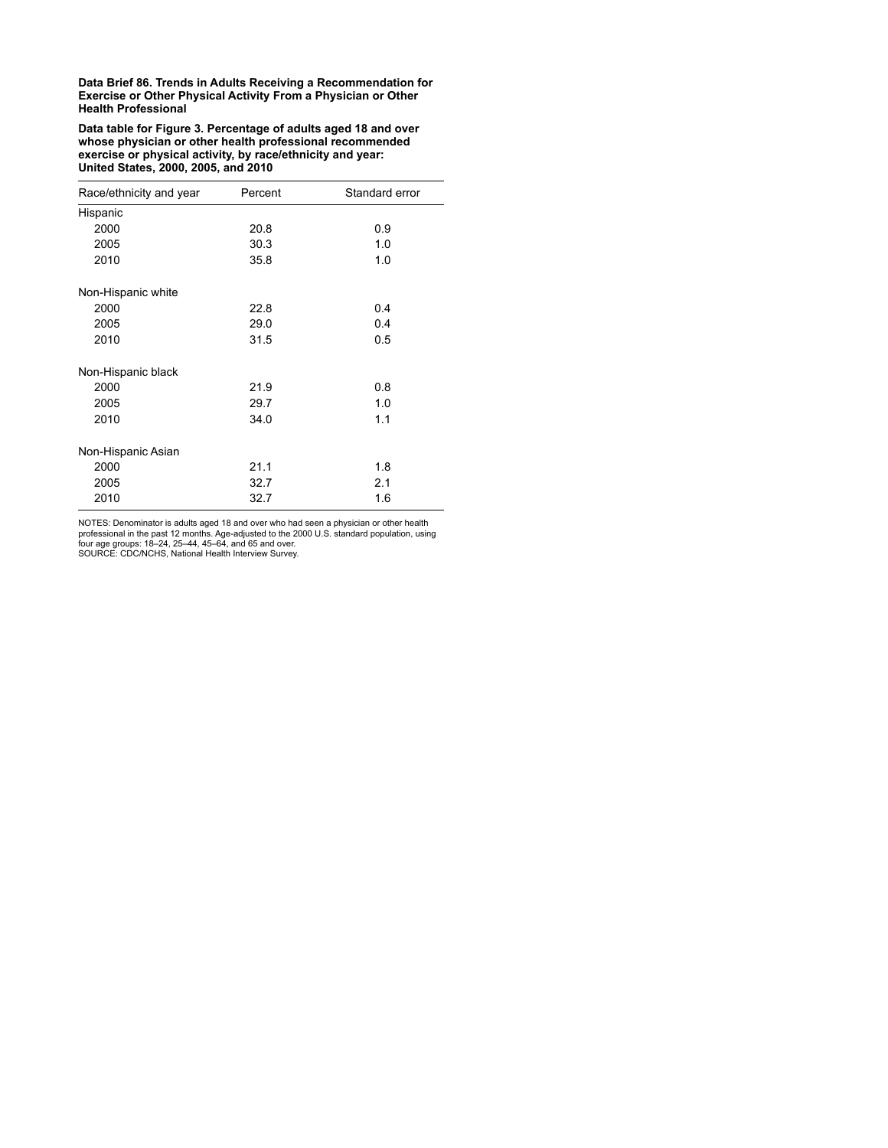**Data table for Figure 3. Percentage of adults aged 18 and over whose physician or other health professional recommended exercise or physical activity, by race/ethnicity and year: United States, 2000, 2005, and 2010**

| Race/ethnicity and year | Percent | Standard error |
|-------------------------|---------|----------------|
| Hispanic                |         |                |
| 2000                    | 20.8    | 0.9            |
| 2005                    | 30.3    | 1.0            |
| 2010                    | 35.8    | 1.0            |
| Non-Hispanic white      |         |                |
| 2000                    | 22.8    | 0.4            |
| 2005                    | 29.0    | 0.4            |
| 2010                    | 31.5    | 0.5            |
| Non-Hispanic black      |         |                |
| 2000                    | 21.9    | 0.8            |
| 2005                    | 29.7    | 1.0            |
| 2010                    | 34.0    | 1.1            |
| Non-Hispanic Asian      |         |                |
| 2000                    | 21.1    | 1.8            |
| 2005                    | 32.7    | 2.1            |
| 2010                    | 32.7    | 1.6            |

NOTES: Denominator is adults aged 18 and over who had seen a physician or other health<br>professional in the past 12 months. Age-adjusted to the 2000 U.S. standard population, using<br>four age groups: 18–24, 25–44, 45–64, and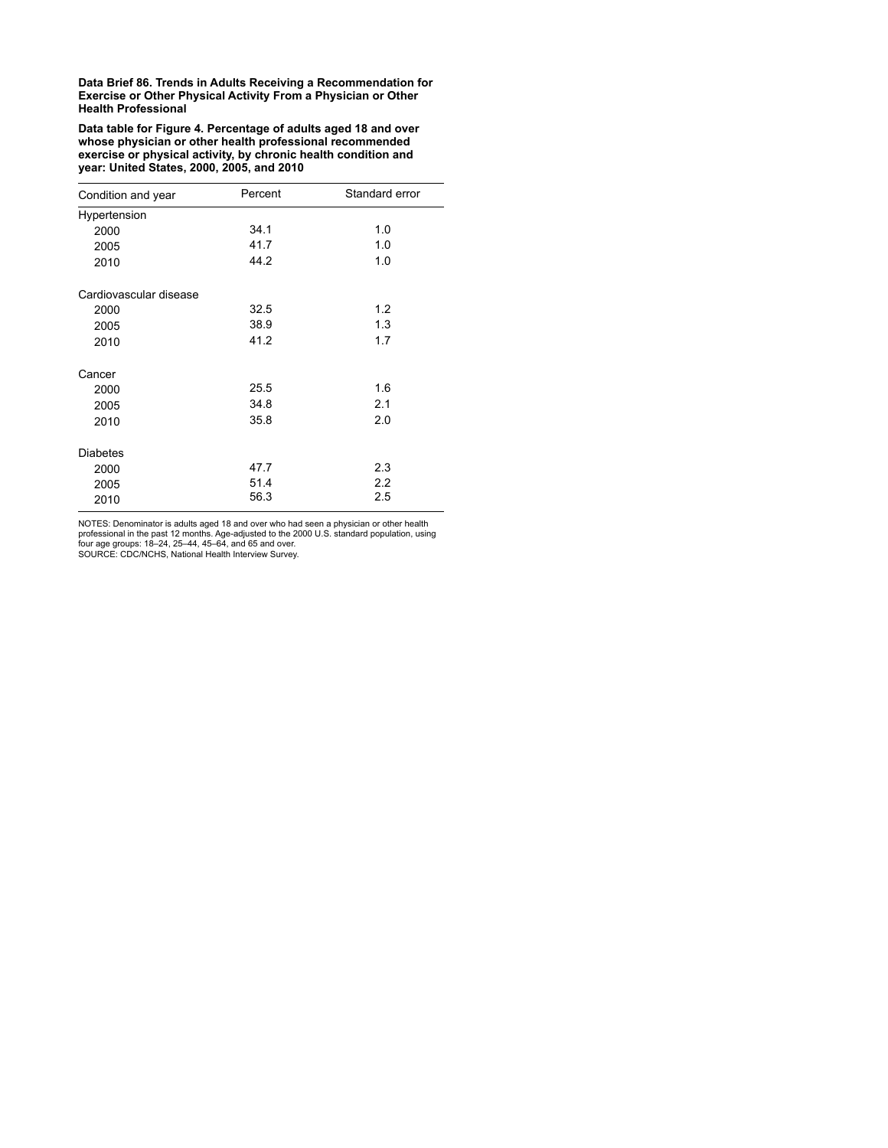**Data table for Figure 4. Percentage of adults aged 18 and over whose physician or other health professional recommended exercise or physical activity, by chronic health condition and year: United States, 2000, 2005, and 2010**

| Condition and year     | Percent | Standard error |
|------------------------|---------|----------------|
| Hypertension           |         |                |
| 2000                   | 34.1    | 1.0            |
| 2005                   | 41.7    | 1.0            |
| 2010                   | 44.2    | 1.0            |
| Cardiovascular disease |         |                |
| 2000                   | 32.5    | 1.2            |
| 2005                   | 38.9    | 1.3            |
| 2010                   | 41.2    | 1.7            |
| Cancer                 |         |                |
| 2000                   | 25.5    | 1.6            |
| 2005                   | 34.8    | 2.1            |
| 2010                   | 35.8    | 2.0            |
| <b>Diabetes</b>        |         |                |
| 2000                   | 47.7    | 2.3            |
| 2005                   | 51.4    | 2.2            |
| 2010                   | 56.3    | 2.5            |

NOTES: Denominator is adults aged 18 and over who had seen a physician or other health<br>professional in the past 12 months. Age-adjusted to the 2000 U.S. standard population, using<br>four age groups: 18–24, 25–44, 45–64, and SOURCE: CDC/NCHS, National Health Interview Survey.